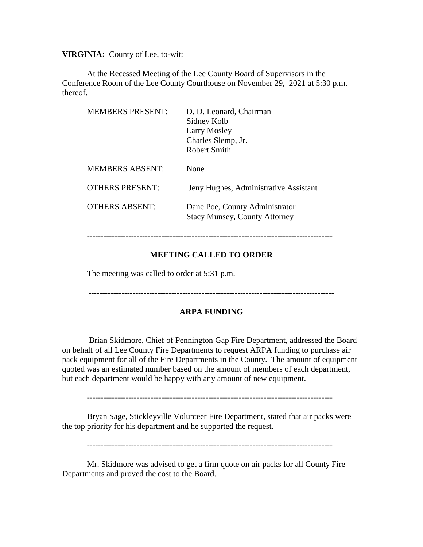**VIRGINIA:** County of Lee, to-wit:

At the Recessed Meeting of the Lee County Board of Supervisors in the Conference Room of the Lee County Courthouse on November 29, 2021 at 5:30 p.m. thereof.

| <b>MEMBERS PRESENT:</b> | D. D. Leonard, Chairman<br>Sidney Kolb<br>Larry Mosley<br>Charles Slemp, Jr.<br>Robert Smith |
|-------------------------|----------------------------------------------------------------------------------------------|
| <b>MEMBERS ABSENT:</b>  | None                                                                                         |
| OTHERS PRESENT:         | Jeny Hughes, Administrative Assistant                                                        |
| <b>OTHERS ABSENT:</b>   | Dane Poe, County Administrator<br><b>Stacy Munsey, County Attorney</b>                       |

#### -----------------------------------------------------------------------------------------

## **MEETING CALLED TO ORDER**

The meeting was called to order at 5:31 p.m.

# **ARPA FUNDING**

Brian Skidmore, Chief of Pennington Gap Fire Department, addressed the Board on behalf of all Lee County Fire Departments to request ARPA funding to purchase air pack equipment for all of the Fire Departments in the County. The amount of equipment quoted was an estimated number based on the amount of members of each department, but each department would be happy with any amount of new equipment.

-----------------------------------------------------------------------------------------

Bryan Sage, Stickleyville Volunteer Fire Department, stated that air packs were the top priority for his department and he supported the request.

-----------------------------------------------------------------------------------------

Mr. Skidmore was advised to get a firm quote on air packs for all County Fire Departments and proved the cost to the Board.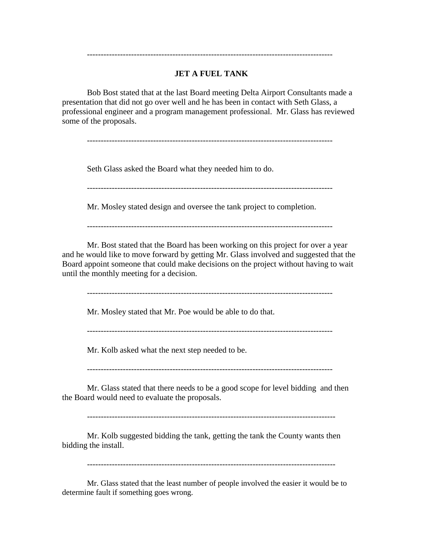# **JET A FUEL TANK**

-----------------------------------------------------------------------------------------

Bob Bost stated that at the last Board meeting Delta Airport Consultants made a presentation that did not go over well and he has been in contact with Seth Glass, a professional engineer and a program management professional. Mr. Glass has reviewed some of the proposals.

-----------------------------------------------------------------------------------------

Seth Glass asked the Board what they needed him to do.

-----------------------------------------------------------------------------------------

Mr. Mosley stated design and oversee the tank project to completion.

-----------------------------------------------------------------------------------------

Mr. Bost stated that the Board has been working on this project for over a year and he would like to move forward by getting Mr. Glass involved and suggested that the Board appoint someone that could make decisions on the project without having to wait until the monthly meeting for a decision.

-----------------------------------------------------------------------------------------

Mr. Mosley stated that Mr. Poe would be able to do that.

-----------------------------------------------------------------------------------------

Mr. Kolb asked what the next step needed to be.

-----------------------------------------------------------------------------------------

Mr. Glass stated that there needs to be a good scope for level bidding and then the Board would need to evaluate the proposals.

------------------------------------------------------------------------------------------

Mr. Kolb suggested bidding the tank, getting the tank the County wants then bidding the install.

Mr. Glass stated that the least number of people involved the easier it would be to determine fault if something goes wrong.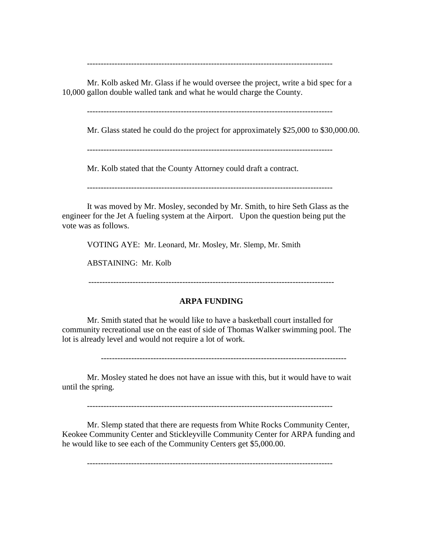-----------------------------------------------------------------------------------------

Mr. Kolb asked Mr. Glass if he would oversee the project, write a bid spec for a 10,000 gallon double walled tank and what he would charge the County.

-----------------------------------------------------------------------------------------

Mr. Glass stated he could do the project for approximately \$25,000 to \$30,000.00.

-----------------------------------------------------------------------------------------

Mr. Kolb stated that the County Attorney could draft a contract.

-----------------------------------------------------------------------------------------

It was moved by Mr. Mosley, seconded by Mr. Smith, to hire Seth Glass as the engineer for the Jet A fueling system at the Airport. Upon the question being put the vote was as follows.

VOTING AYE: Mr. Leonard, Mr. Mosley, Mr. Slemp, Mr. Smith

ABSTAINING: Mr. Kolb

-----------------------------------------------------------------------------------------

#### **ARPA FUNDING**

Mr. Smith stated that he would like to have a basketball court installed for community recreational use on the east of side of Thomas Walker swimming pool. The lot is already level and would not require a lot of work.

-----------------------------------------------------------------------------------------

Mr. Mosley stated he does not have an issue with this, but it would have to wait until the spring.

-----------------------------------------------------------------------------------------

Mr. Slemp stated that there are requests from White Rocks Community Center, Keokee Community Center and Stickleyville Community Center for ARPA funding and he would like to see each of the Community Centers get \$5,000.00.

-----------------------------------------------------------------------------------------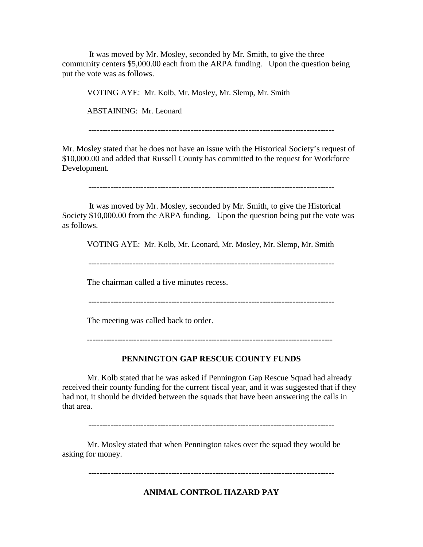It was moved by Mr. Mosley, seconded by Mr. Smith, to give the three community centers \$5,000.00 each from the ARPA funding. Upon the question being put the vote was as follows.

VOTING AYE: Mr. Kolb, Mr. Mosley, Mr. Slemp, Mr. Smith

ABSTAINING: Mr. Leonard

-----------------------------------------------------------------------------------------

Mr. Mosley stated that he does not have an issue with the Historical Society's request of \$10,000.00 and added that Russell County has committed to the request for Workforce Development.

-----------------------------------------------------------------------------------------

It was moved by Mr. Mosley, seconded by Mr. Smith, to give the Historical Society \$10,000.00 from the ARPA funding. Upon the question being put the vote was as follows.

VOTING AYE: Mr. Kolb, Mr. Leonard, Mr. Mosley, Mr. Slemp, Mr. Smith

-----------------------------------------------------------------------------------------

The chairman called a five minutes recess.

-----------------------------------------------------------------------------------------

The meeting was called back to order.

-----------------------------------------------------------------------------------------

### **PENNINGTON GAP RESCUE COUNTY FUNDS**

Mr. Kolb stated that he was asked if Pennington Gap Rescue Squad had already received their county funding for the current fiscal year, and it was suggested that if they had not, it should be divided between the squads that have been answering the calls in that area.

-----------------------------------------------------------------------------------------

Mr. Mosley stated that when Pennington takes over the squad they would be asking for money.

-----------------------------------------------------------------------------------------

**ANIMAL CONTROL HAZARD PAY**